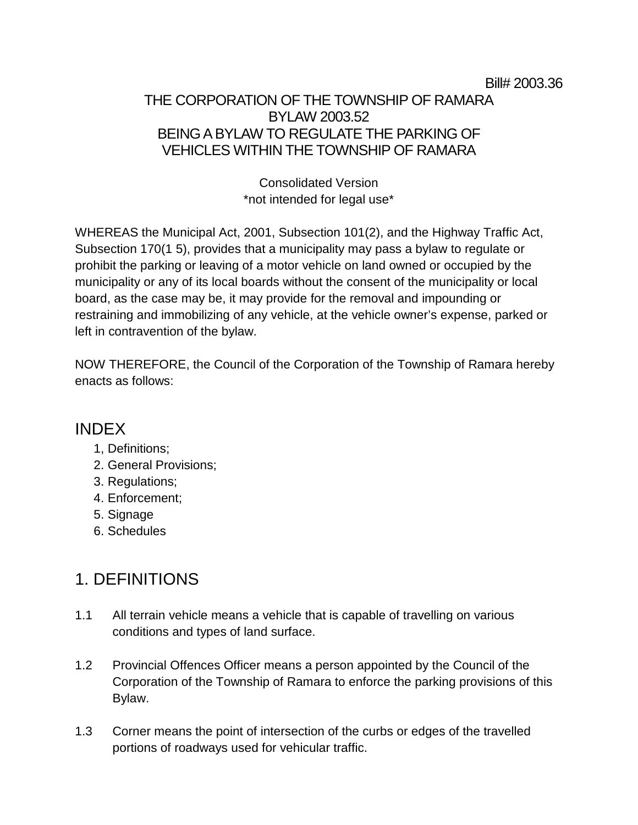#### Bill# 2003.36

#### THE CORPORATION OF THE TOWNSHIP OF RAMARA BYLAW 2003.52 BEING A BYLAW TO REGULATE THE PARKING OF VEHICLES WITHIN THE TOWNSHIP OF RAMARA

Consolidated Version \*not intended for legal use\*

WHEREAS the Municipal Act, 2001, Subsection 101(2), and the Highway Traffic Act, Subsection 170(1 5), provides that a municipality may pass a bylaw to regulate or prohibit the parking or leaving of a motor vehicle on land owned or occupied by the municipality or any of its local boards without the consent of the municipality or local board, as the case may be, it may provide for the removal and impounding or restraining and immobilizing of any vehicle, at the vehicle owner's expense, parked or left in contravention of the bylaw.

NOW THEREFORE, the Council of the Corporation of the Township of Ramara hereby enacts as follows:

#### INDEX

- 1, Definitions;
- 2. General Provisions;
- 3. Regulations;
- 4. Enforcement;
- 5. Signage
- 6. Schedules

## 1. DEFINITIONS

- 1.1 All terrain vehicle means a vehicle that is capable of travelling on various conditions and types of land surface.
- 1.2 Provincial Offences Officer means a person appointed by the Council of the Corporation of the Township of Ramara to enforce the parking provisions of this Bylaw.
- 1.3 Corner means the point of intersection of the curbs or edges of the travelled portions of roadways used for vehicular traffic.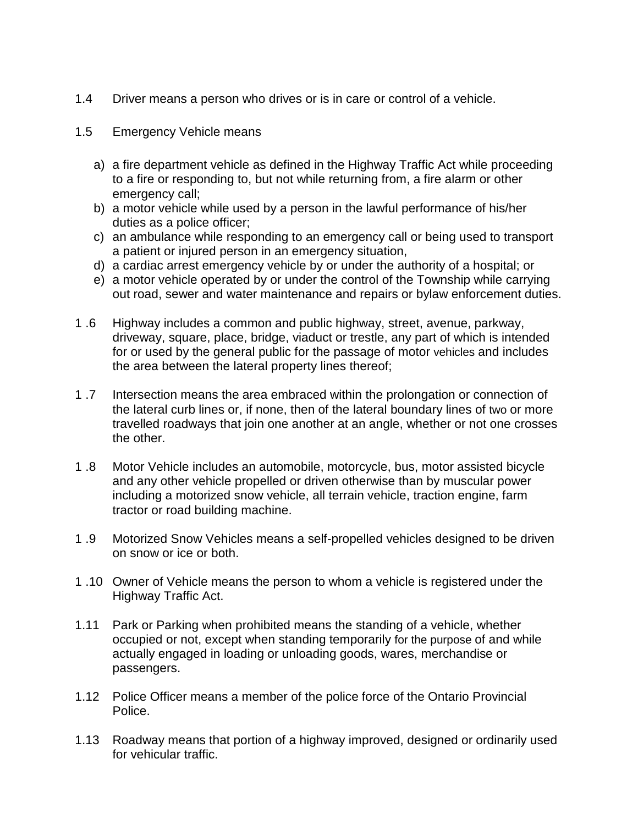- 1.4 Driver means a person who drives or is in care or control of a vehicle.
- 1.5 Emergency Vehicle means
	- a) a fire department vehicle as defined in the Highway Traffic Act while proceeding to a fire or responding to, but not while returning from, a fire alarm or other emergency call;
	- b) a motor vehicle while used by a person in the lawful performance of his/her duties as a police officer;
	- c) an ambulance while responding to an emergency call or being used to transport a patient or injured person in an emergency situation,
	- d) a cardiac arrest emergency vehicle by or under the authority of a hospital; or
	- e) a motor vehicle operated by or under the control of the Township while carrying out road, sewer and water maintenance and repairs or bylaw enforcement duties.
- 1 .6 Highway includes a common and public highway, street, avenue, parkway, driveway, square, place, bridge, viaduct or trestle, any part of which is intended for or used by the general public for the passage of motor vehicles and includes the area between the lateral property lines thereof;
- 1 .7 Intersection means the area embraced within the prolongation or connection of the lateral curb lines or, if none, then of the lateral boundary lines of two or more travelled roadways that join one another at an angle, whether or not one crosses the other.
- 1 .8 Motor Vehicle includes an automobile, motorcycle, bus, motor assisted bicycle and any other vehicle propelled or driven otherwise than by muscular power including a motorized snow vehicle, all terrain vehicle, traction engine, farm tractor or road building machine.
- 1 .9 Motorized Snow Vehicles means a self-propelled vehicles designed to be driven on snow or ice or both.
- 1 .10 Owner of Vehicle means the person to whom a vehicle is registered under the Highway Traffic Act.
- 1.11 Park or Parking when prohibited means the standing of a vehicle, whether occupied or not, except when standing temporarily for the purpose of and while actually engaged in loading or unloading goods, wares, merchandise or passengers.
- 1.12 Police Officer means a member of the police force of the Ontario Provincial Police.
- 1.13 Roadway means that portion of a highway improved, designed or ordinarily used for vehicular traffic.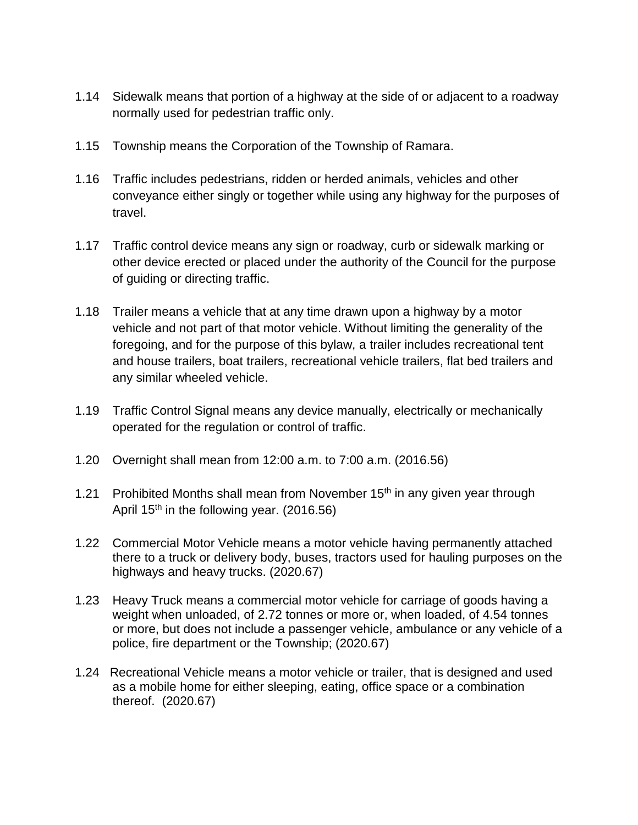- 1.14 Sidewalk means that portion of a highway at the side of or adjacent to a roadway normally used for pedestrian traffic only.
- 1.15 Township means the Corporation of the Township of Ramara.
- 1.16 Traffic includes pedestrians, ridden or herded animals, vehicles and other conveyance either singly or together while using any highway for the purposes of travel.
- 1.17 Traffic control device means any sign or roadway, curb or sidewalk marking or other device erected or placed under the authority of the Council for the purpose of guiding or directing traffic.
- 1.18 Trailer means a vehicle that at any time drawn upon a highway by a motor vehicle and not part of that motor vehicle. Without limiting the generality of the foregoing, and for the purpose of this bylaw, a trailer includes recreational tent and house trailers, boat trailers, recreational vehicle trailers, flat bed trailers and any similar wheeled vehicle.
- 1.19 Traffic Control Signal means any device manually, electrically or mechanically operated for the regulation or control of traffic.
- 1.20 Overnight shall mean from 12:00 a.m. to 7:00 a.m. (2016.56)
- 1.21 Prohibited Months shall mean from November  $15<sup>th</sup>$  in any given year through April 15<sup>th</sup> in the following year.  $(2016.56)$
- 1.22 Commercial Motor Vehicle means a motor vehicle having permanently attached there to a truck or delivery body, buses, tractors used for hauling purposes on the highways and heavy trucks. (2020.67)
- 1.23 Heavy Truck means a commercial motor vehicle for carriage of goods having a weight when unloaded, of 2.72 tonnes or more or, when loaded, of 4.54 tonnes or more, but does not include a passenger vehicle, ambulance or any vehicle of a police, fire department or the Township; (2020.67)
- 1.24 Recreational Vehicle means a motor vehicle or trailer, that is designed and used as a mobile home for either sleeping, eating, office space or a combination thereof. (2020.67)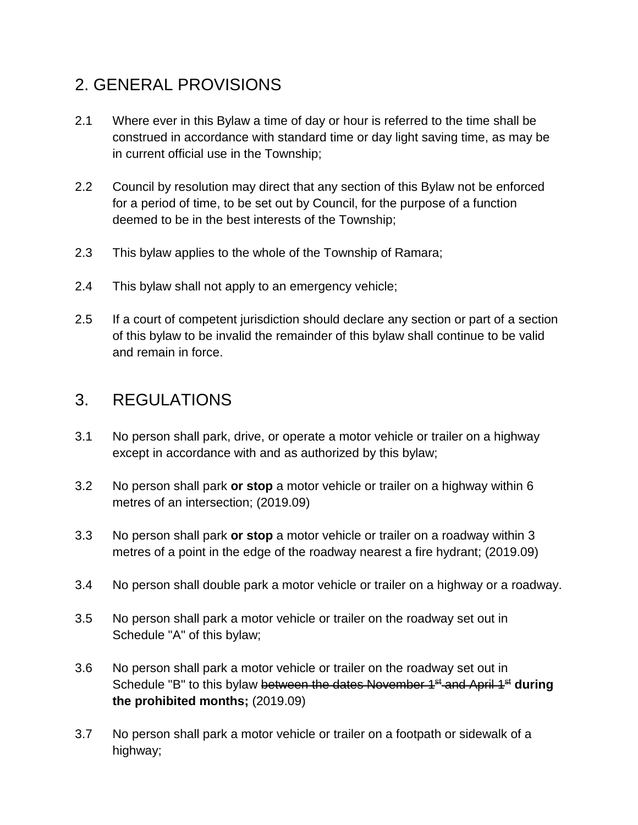# 2. GENERAL PROVISIONS

- 2.1 Where ever in this Bylaw a time of day or hour is referred to the time shall be construed in accordance with standard time or day light saving time, as may be in current official use in the Township;
- 2.2 Council by resolution may direct that any section of this Bylaw not be enforced for a period of time, to be set out by Council, for the purpose of a function deemed to be in the best interests of the Township;
- 2.3 This bylaw applies to the whole of the Township of Ramara;
- 2.4 This bylaw shall not apply to an emergency vehicle;
- 2.5 If a court of competent jurisdiction should declare any section or part of a section of this bylaw to be invalid the remainder of this bylaw shall continue to be valid and remain in force.

### 3. REGULATIONS

- 3.1 No person shall park, drive, or operate a motor vehicle or trailer on a highway except in accordance with and as authorized by this bylaw;
- 3.2 No person shall park **or stop** a motor vehicle or trailer on a highway within 6 metres of an intersection; (2019.09)
- 3.3 No person shall park **or stop** a motor vehicle or trailer on a roadway within 3 metres of a point in the edge of the roadway nearest a fire hydrant; (2019.09)
- 3.4 No person shall double park a motor vehicle or trailer on a highway or a roadway.
- 3.5 No person shall park a motor vehicle or trailer on the roadway set out in Schedule "A" of this bylaw;
- 3.6 No person shall park a motor vehicle or trailer on the roadway set out in Schedule "B" to this bylaw between the dates November 1<sup>st</sup> and April 1<sup>st</sup> during **the prohibited months;** (2019.09)
- 3.7 No person shall park a motor vehicle or trailer on a footpath or sidewalk of a highway;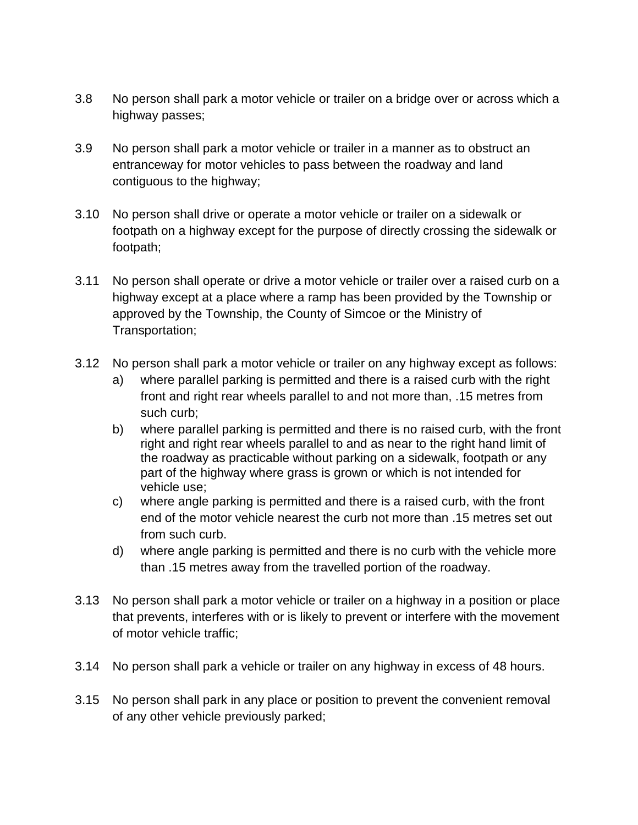- 3.8 No person shall park a motor vehicle or trailer on a bridge over or across which a highway passes;
- 3.9 No person shall park a motor vehicle or trailer in a manner as to obstruct an entranceway for motor vehicles to pass between the roadway and land contiguous to the highway;
- 3.10 No person shall drive or operate a motor vehicle or trailer on a sidewalk or footpath on a highway except for the purpose of directly crossing the sidewalk or footpath;
- 3.11 No person shall operate or drive a motor vehicle or trailer over a raised curb on a highway except at a place where a ramp has been provided by the Township or approved by the Township, the County of Simcoe or the Ministry of Transportation;
- 3.12 No person shall park a motor vehicle or trailer on any highway except as follows:
	- a) where parallel parking is permitted and there is a raised curb with the right front and right rear wheels parallel to and not more than, .15 metres from such curb;
	- b) where parallel parking is permitted and there is no raised curb, with the front right and right rear wheels parallel to and as near to the right hand limit of the roadway as practicable without parking on a sidewalk, footpath or any part of the highway where grass is grown or which is not intended for vehicle use;
	- c) where angle parking is permitted and there is a raised curb, with the front end of the motor vehicle nearest the curb not more than .15 metres set out from such curb.
	- d) where angle parking is permitted and there is no curb with the vehicle more than .15 metres away from the travelled portion of the roadway.
- 3.13 No person shall park a motor vehicle or trailer on a highway in a position or place that prevents, interferes with or is likely to prevent or interfere with the movement of motor vehicle traffic;
- 3.14 No person shall park a vehicle or trailer on any highway in excess of 48 hours.
- 3.15 No person shall park in any place or position to prevent the convenient removal of any other vehicle previously parked;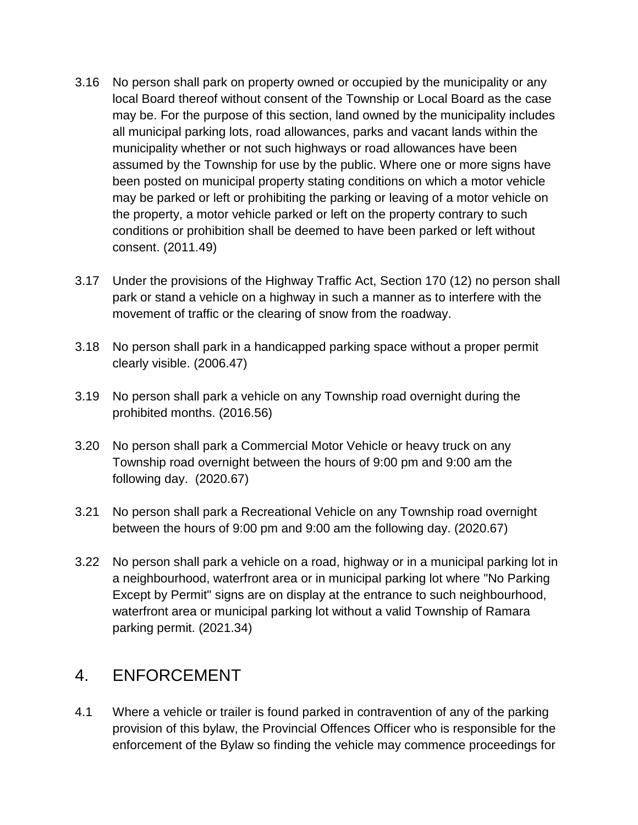- 3.16 No person shall park on property owned or occupied by the municipality or any local Board thereof without consent of the Township or Local Board as the case may be. For the purpose of this section, land owned by the municipality includes all municipal parking lots, road allowances, parks and vacant lands within the municipality whether or not such highways or road allowances have been assumed by the Township for use by the public. Where one or more signs have been posted on municipal property stating conditions on which a motor vehicle may be parked or left or prohibiting the parking or leaving of a motor vehicle on the property, a motor vehicle parked or left on the property contrary to such conditions or prohibition shall be deemed to have been parked or left without consent. (2011.49)
- 3.17 Under the provisions of the Highway Traffic Act, Section 170 (12) no person shall park or stand a vehicle on a highway in such a manner as to interfere with the movement of traffic or the clearing of snow from the roadway.
- 3.18 No person shall park in a handicapped parking space without a proper permit clearly visible. (2006.47)
- 3.19 No person shall park a vehicle on any Township road overnight during the prohibited months. (2016.56)
- 3.20 No person shall park a Commercial Motor Vehicle or heavy truck on any Township road overnight between the hours of 9:00 pm and 9:00 am the following day. (2020.67)
- 3.21 No person shall park a Recreational Vehicle on any Township road overnight between the hours of 9:00 pm and 9:00 am the following day. (2020.67)
- 3.22 No person shall park a vehicle on a road, highway or in a municipal parking lot in a neighbourhood, waterfront area or in municipal parking lot where "No Parking Except by Permit" signs are on display at the entrance to such neighbourhood, waterfront area or municipal parking lot without a valid Township of Ramara parking permit. (2021.34)

### 4. ENFORCEMENT

4.1 Where a vehicle or trailer is found parked in contravention of any of the parking provision of this bylaw, the Provincial Offences Officer who is responsible for the enforcement of the Bylaw so finding the vehicle may commence proceedings for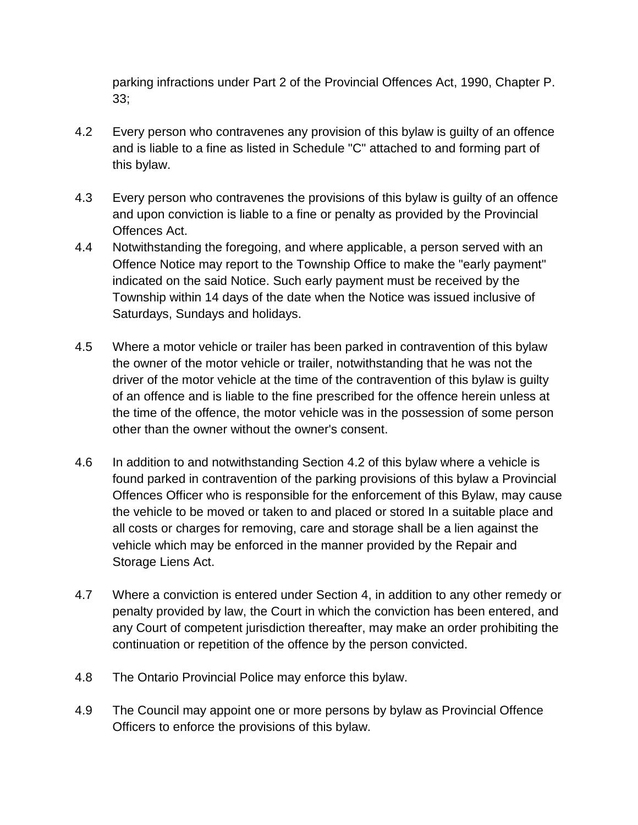parking infractions under Part 2 of the Provincial Offences Act, 1990, Chapter P. 33;

- 4.2 Every person who contravenes any provision of this bylaw is guilty of an offence and is liable to a fine as listed in Schedule "C" attached to and forming part of this bylaw.
- 4.3 Every person who contravenes the provisions of this bylaw is guilty of an offence and upon conviction is liable to a fine or penalty as provided by the Provincial Offences Act.
- 4.4 Notwithstanding the foregoing, and where applicable, a person served with an Offence Notice may report to the Township Office to make the "early payment" indicated on the said Notice. Such early payment must be received by the Township within 14 days of the date when the Notice was issued inclusive of Saturdays, Sundays and holidays.
- 4.5 Where a motor vehicle or trailer has been parked in contravention of this bylaw the owner of the motor vehicle or trailer, notwithstanding that he was not the driver of the motor vehicle at the time of the contravention of this bylaw is guilty of an offence and is liable to the fine prescribed for the offence herein unless at the time of the offence, the motor vehicle was in the possession of some person other than the owner without the owner's consent.
- 4.6 In addition to and notwithstanding Section 4.2 of this bylaw where a vehicle is found parked in contravention of the parking provisions of this bylaw a Provincial Offences Officer who is responsible for the enforcement of this Bylaw, may cause the vehicle to be moved or taken to and placed or stored In a suitable place and all costs or charges for removing, care and storage shall be a lien against the vehicle which may be enforced in the manner provided by the Repair and Storage Liens Act.
- 4.7 Where a conviction is entered under Section 4, in addition to any other remedy or penalty provided by law, the Court in which the conviction has been entered, and any Court of competent jurisdiction thereafter, may make an order prohibiting the continuation or repetition of the offence by the person convicted.
- 4.8 The Ontario Provincial Police may enforce this bylaw.
- 4.9 The Council may appoint one or more persons by bylaw as Provincial Offence Officers to enforce the provisions of this bylaw.